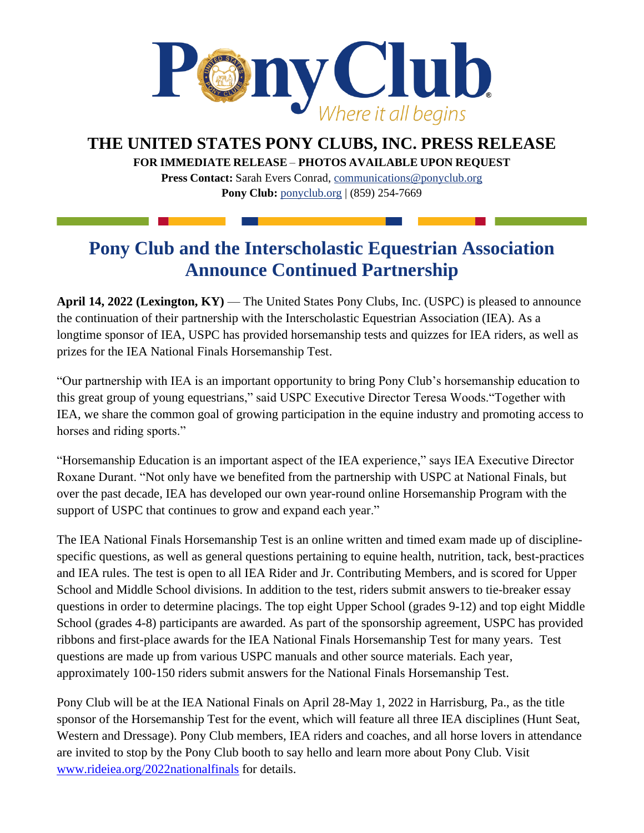

**THE UNITED STATES PONY CLUBS, INC. PRESS RELEASE**

**FOR IMMEDIATE RELEASE** – **PHOTOS AVAILABLE UPON REQUEST** 

**Press Contact:** Sarah Evers Conrad, [communications@ponyclub.org](mailto:communications@ponyclub.org) **Pony Club:** [ponyclub.org](https://www.ponyclub.org/) | (859) 254-7669

## **Pony Club and the Interscholastic Equestrian Association Announce Continued Partnership**

**April 14, 2022 (Lexington, KY)** — The United States Pony Clubs, Inc. (USPC) is pleased to announce the continuation of their partnership with the Interscholastic Equestrian Association (IEA). As a longtime sponsor of IEA, USPC has provided horsemanship tests and quizzes for IEA riders, as well as prizes for the IEA National Finals Horsemanship Test.

"Our partnership with IEA is an important opportunity to bring Pony Club's horsemanship education to this great group of young equestrians," said USPC Executive Director Teresa Woods."Together with IEA, we share the common goal of growing participation in the equine industry and promoting access to horses and riding sports."

"Horsemanship Education is an important aspect of the IEA experience," says IEA Executive Director Roxane Durant. "Not only have we benefited from the partnership with USPC at National Finals, but over the past decade, IEA has developed our own year-round online Horsemanship Program with the support of USPC that continues to grow and expand each year."

The IEA National Finals Horsemanship Test is an online written and timed exam made up of disciplinespecific questions, as well as general questions pertaining to equine health, nutrition, tack, best-practices and IEA rules. The test is open to all IEA Rider and Jr. Contributing Members, and is scored for Upper School and Middle School divisions. In addition to the test, riders submit answers to tie-breaker essay questions in order to determine placings. The top eight Upper School (grades 9-12) and top eight Middle School (grades 4-8) participants are awarded. As part of the sponsorship agreement, USPC has provided ribbons and first-place awards for the IEA National Finals Horsemanship Test for many years. Test questions are made up from various USPC manuals and other source materials. Each year, approximately 100-150 riders submit answers for the National Finals Horsemanship Test.

Pony Club will be at the IEA National Finals on April 28-May 1, 2022 in Harrisburg, Pa., as the title sponsor of the Horsemanship Test for the event, which will feature all three IEA disciplines (Hunt Seat, Western and Dressage). Pony Club members, IEA riders and coaches, and all horse lovers in attendance are invited to stop by the Pony Club booth to say hello and learn more about Pony Club. Visit [www.rideiea.org/2022nationalfinals](http://www.rideiea.org/2022nationalfinals/) for details.